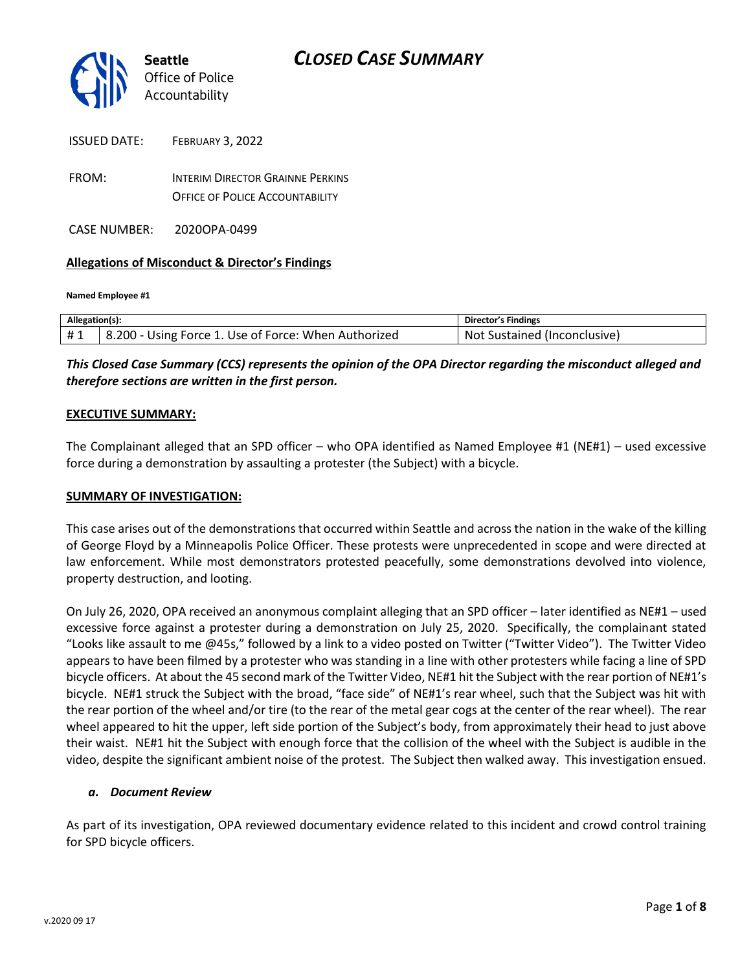

| ISSUED DATE: | FEBRUARY 3, 2022                        |
|--------------|-----------------------------------------|
| FROM:        | <b>INTERIM DIRECTOR GRAINNE PERKINS</b> |
|              | <b>OFFICE OF POLICE ACCOUNTABILITY</b>  |

CASE NUMBER: 2020OPA-0499

#### **Allegations of Misconduct & Director's Findings**

**Named Employee #1**

| Allegation(s): |                                                      | Director's Findings                |
|----------------|------------------------------------------------------|------------------------------------|
| #1             | 8.200 - Using Force 1. Use of Force: When Authorized | : Sustained (Inconclusive)<br>Not. |

*This Closed Case Summary (CCS) represents the opinion of the OPA Director regarding the misconduct alleged and therefore sections are written in the first person.* 

#### **EXECUTIVE SUMMARY:**

The Complainant alleged that an SPD officer – who OPA identified as Named Employee #1 (NE#1) – used excessive force during a demonstration by assaulting a protester (the Subject) with a bicycle.

#### **SUMMARY OF INVESTIGATION:**

This case arises out of the demonstrations that occurred within Seattle and across the nation in the wake of the killing of George Floyd by a Minneapolis Police Officer. These protests were unprecedented in scope and were directed at law enforcement. While most demonstrators protested peacefully, some demonstrations devolved into violence, property destruction, and looting.

On July 26, 2020, OPA received an anonymous complaint alleging that an SPD officer – later identified as NE#1 – used excessive force against a protester during a demonstration on July 25, 2020. Specifically, the complainant stated "Looks like assault to me @45s," followed by a link to a video posted on Twitter ("Twitter Video"). The Twitter Video appears to have been filmed by a protester who was standing in a line with other protesters while facing a line of SPD bicycle officers. At about the 45 second mark of the Twitter Video, NE#1 hit the Subject with the rear portion of NE#1's bicycle. NE#1 struck the Subject with the broad, "face side" of NE#1's rear wheel, such that the Subject was hit with the rear portion of the wheel and/or tire (to the rear of the metal gear cogs at the center of the rear wheel). The rear wheel appeared to hit the upper, left side portion of the Subject's body, from approximately their head to just above their waist. NE#1 hit the Subject with enough force that the collision of the wheel with the Subject is audible in the video, despite the significant ambient noise of the protest. The Subject then walked away. This investigation ensued.

#### *a. Document Review*

As part of its investigation, OPA reviewed documentary evidence related to this incident and crowd control training for SPD bicycle officers.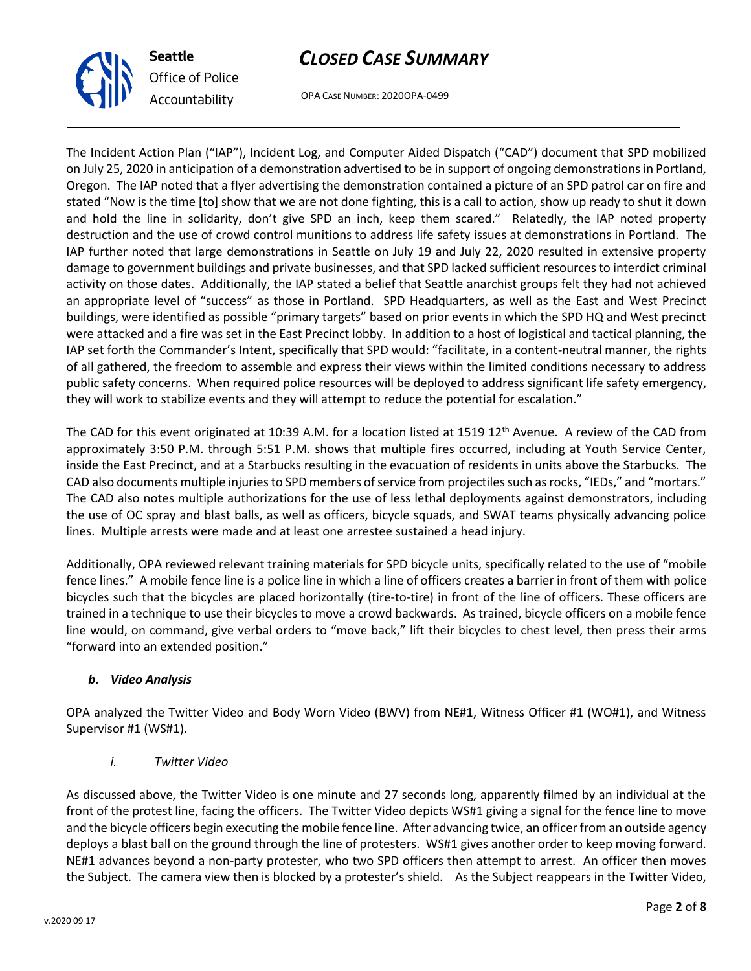

OPA CASE NUMBER: 2020OPA-0499

The Incident Action Plan ("IAP"), Incident Log, and Computer Aided Dispatch ("CAD") document that SPD mobilized on July 25, 2020 in anticipation of a demonstration advertised to be in support of ongoing demonstrations in Portland, Oregon. The IAP noted that a flyer advertising the demonstration contained a picture of an SPD patrol car on fire and stated "Now is the time [to] show that we are not done fighting, this is a call to action, show up ready to shut it down and hold the line in solidarity, don't give SPD an inch, keep them scared." Relatedly, the IAP noted property destruction and the use of crowd control munitions to address life safety issues at demonstrations in Portland. The IAP further noted that large demonstrations in Seattle on July 19 and July 22, 2020 resulted in extensive property damage to government buildings and private businesses, and that SPD lacked sufficient resources to interdict criminal activity on those dates. Additionally, the IAP stated a belief that Seattle anarchist groups felt they had not achieved an appropriate level of "success" as those in Portland. SPD Headquarters, as well as the East and West Precinct buildings, were identified as possible "primary targets" based on prior events in which the SPD HQ and West precinct were attacked and a fire was set in the East Precinct lobby. In addition to a host of logistical and tactical planning, the IAP set forth the Commander's Intent, specifically that SPD would: "facilitate, in a content-neutral manner, the rights of all gathered, the freedom to assemble and express their views within the limited conditions necessary to address public safety concerns. When required police resources will be deployed to address significant life safety emergency, they will work to stabilize events and they will attempt to reduce the potential for escalation."

The CAD for this event originated at 10:39 A.M. for a location listed at 1519 12<sup>th</sup> Avenue. A review of the CAD from approximately 3:50 P.M. through 5:51 P.M. shows that multiple fires occurred, including at Youth Service Center, inside the East Precinct, and at a Starbucks resulting in the evacuation of residents in units above the Starbucks. The CAD also documents multiple injuries to SPD members of service from projectiles such as rocks, "IEDs," and "mortars." The CAD also notes multiple authorizations for the use of less lethal deployments against demonstrators, including the use of OC spray and blast balls, as well as officers, bicycle squads, and SWAT teams physically advancing police lines. Multiple arrests were made and at least one arrestee sustained a head injury.

Additionally, OPA reviewed relevant training materials for SPD bicycle units, specifically related to the use of "mobile fence lines." A mobile fence line is a police line in which a line of officers creates a barrier in front of them with police bicycles such that the bicycles are placed horizontally (tire-to-tire) in front of the line of officers. These officers are trained in a technique to use their bicycles to move a crowd backwards. As trained, bicycle officers on a mobile fence line would, on command, give verbal orders to "move back," lift their bicycles to chest level, then press their arms "forward into an extended position."

### *b. Video Analysis*

OPA analyzed the Twitter Video and Body Worn Video (BWV) from NE#1, Witness Officer #1 (WO#1), and Witness Supervisor #1 (WS#1).

### *i. Twitter Video*

As discussed above, the Twitter Video is one minute and 27 seconds long, apparently filmed by an individual at the front of the protest line, facing the officers. The Twitter Video depicts WS#1 giving a signal for the fence line to move and the bicycle officers begin executing the mobile fence line. After advancing twice, an officer from an outside agency deploys a blast ball on the ground through the line of protesters. WS#1 gives another order to keep moving forward. NE#1 advances beyond a non-party protester, who two SPD officers then attempt to arrest. An officer then moves the Subject. The camera view then is blocked by a protester's shield. As the Subject reappears in the Twitter Video,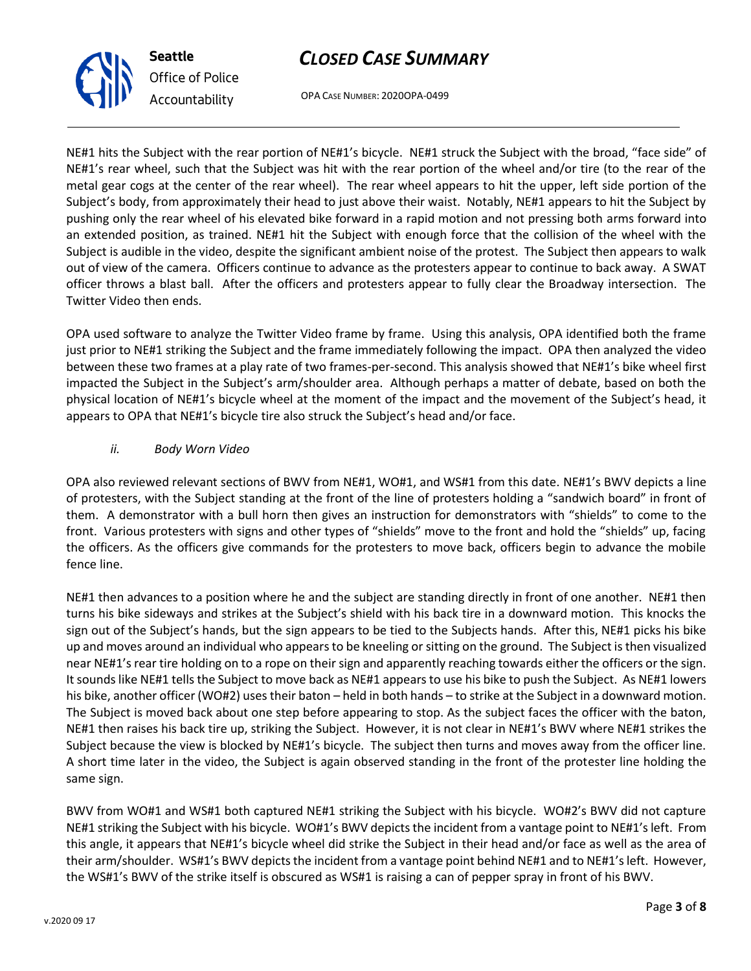OPA CASE NUMBER: 2020OPA-0499

NE#1 hits the Subject with the rear portion of NE#1's bicycle. NE#1 struck the Subject with the broad, "face side" of NE#1's rear wheel, such that the Subject was hit with the rear portion of the wheel and/or tire (to the rear of the metal gear cogs at the center of the rear wheel). The rear wheel appears to hit the upper, left side portion of the Subject's body, from approximately their head to just above their waist. Notably, NE#1 appears to hit the Subject by pushing only the rear wheel of his elevated bike forward in a rapid motion and not pressing both arms forward into an extended position, as trained. NE#1 hit the Subject with enough force that the collision of the wheel with the Subject is audible in the video, despite the significant ambient noise of the protest. The Subject then appears to walk out of view of the camera. Officers continue to advance as the protesters appear to continue to back away. A SWAT officer throws a blast ball. After the officers and protesters appear to fully clear the Broadway intersection. The Twitter Video then ends.

OPA used software to analyze the Twitter Video frame by frame. Using this analysis, OPA identified both the frame just prior to NE#1 striking the Subject and the frame immediately following the impact. OPA then analyzed the video between these two frames at a play rate of two frames-per-second. This analysis showed that NE#1's bike wheel first impacted the Subject in the Subject's arm/shoulder area. Although perhaps a matter of debate, based on both the physical location of NE#1's bicycle wheel at the moment of the impact and the movement of the Subject's head, it appears to OPA that NE#1's bicycle tire also struck the Subject's head and/or face.

### *ii. Body Worn Video*

OPA also reviewed relevant sections of BWV from NE#1, WO#1, and WS#1 from this date. NE#1's BWV depicts a line of protesters, with the Subject standing at the front of the line of protesters holding a "sandwich board" in front of them. A demonstrator with a bull horn then gives an instruction for demonstrators with "shields" to come to the front. Various protesters with signs and other types of "shields" move to the front and hold the "shields" up, facing the officers. As the officers give commands for the protesters to move back, officers begin to advance the mobile fence line.

NE#1 then advances to a position where he and the subject are standing directly in front of one another. NE#1 then turns his bike sideways and strikes at the Subject's shield with his back tire in a downward motion. This knocks the sign out of the Subject's hands, but the sign appears to be tied to the Subjects hands. After this, NE#1 picks his bike up and moves around an individual who appears to be kneeling or sitting on the ground. The Subject is then visualized near NE#1's rear tire holding on to a rope on their sign and apparently reaching towards either the officers or the sign. It sounds like NE#1 tells the Subject to move back as NE#1 appears to use his bike to push the Subject. As NE#1 lowers his bike, another officer (WO#2) uses their baton – held in both hands – to strike at the Subject in a downward motion. The Subject is moved back about one step before appearing to stop. As the subject faces the officer with the baton, NE#1 then raises his back tire up, striking the Subject. However, it is not clear in NE#1's BWV where NE#1 strikes the Subject because the view is blocked by NE#1's bicycle. The subject then turns and moves away from the officer line. A short time later in the video, the Subject is again observed standing in the front of the protester line holding the same sign.

BWV from WO#1 and WS#1 both captured NE#1 striking the Subject with his bicycle. WO#2's BWV did not capture NE#1 striking the Subject with his bicycle. WO#1's BWV depicts the incident from a vantage point to NE#1's left. From this angle, it appears that NE#1's bicycle wheel did strike the Subject in their head and/or face as well as the area of their arm/shoulder. WS#1's BWV depicts the incident from a vantage point behind NE#1 and to NE#1's left. However, the WS#1's BWV of the strike itself is obscured as WS#1 is raising a can of pepper spray in front of his BWV.



**Seattle**

*Office of Police Accountability*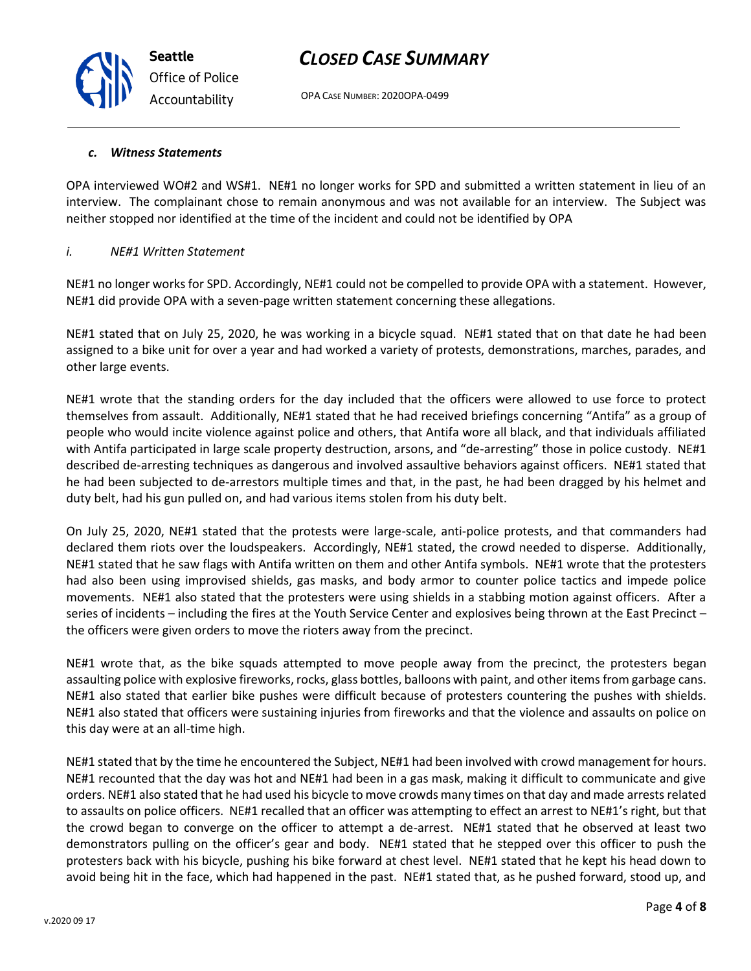OPA CASE NUMBER: 2020OPA-0499

#### *c. Witness Statements*

**Seattle**

*Office of Police Accountability*

OPA interviewed WO#2 and WS#1. NE#1 no longer works for SPD and submitted a written statement in lieu of an interview. The complainant chose to remain anonymous and was not available for an interview. The Subject was neither stopped nor identified at the time of the incident and could not be identified by OPA

#### *i. NE#1 Written Statement*

NE#1 no longer works for SPD. Accordingly, NE#1 could not be compelled to provide OPA with a statement. However, NE#1 did provide OPA with a seven-page written statement concerning these allegations.

NE#1 stated that on July 25, 2020, he was working in a bicycle squad. NE#1 stated that on that date he had been assigned to a bike unit for over a year and had worked a variety of protests, demonstrations, marches, parades, and other large events.

NE#1 wrote that the standing orders for the day included that the officers were allowed to use force to protect themselves from assault. Additionally, NE#1 stated that he had received briefings concerning "Antifa" as a group of people who would incite violence against police and others, that Antifa wore all black, and that individuals affiliated with Antifa participated in large scale property destruction, arsons, and "de-arresting" those in police custody. NE#1 described de-arresting techniques as dangerous and involved assaultive behaviors against officers. NE#1 stated that he had been subjected to de-arrestors multiple times and that, in the past, he had been dragged by his helmet and duty belt, had his gun pulled on, and had various items stolen from his duty belt.

On July 25, 2020, NE#1 stated that the protests were large-scale, anti-police protests, and that commanders had declared them riots over the loudspeakers. Accordingly, NE#1 stated, the crowd needed to disperse. Additionally, NE#1 stated that he saw flags with Antifa written on them and other Antifa symbols. NE#1 wrote that the protesters had also been using improvised shields, gas masks, and body armor to counter police tactics and impede police movements. NE#1 also stated that the protesters were using shields in a stabbing motion against officers. After a series of incidents – including the fires at the Youth Service Center and explosives being thrown at the East Precinct – the officers were given orders to move the rioters away from the precinct.

NE#1 wrote that, as the bike squads attempted to move people away from the precinct, the protesters began assaulting police with explosive fireworks, rocks, glass bottles, balloons with paint, and other items from garbage cans. NE#1 also stated that earlier bike pushes were difficult because of protesters countering the pushes with shields. NE#1 also stated that officers were sustaining injuries from fireworks and that the violence and assaults on police on this day were at an all-time high.

NE#1 stated that by the time he encountered the Subject, NE#1 had been involved with crowd management for hours. NE#1 recounted that the day was hot and NE#1 had been in a gas mask, making it difficult to communicate and give orders. NE#1 also stated that he had used his bicycle to move crowds many times on that day and made arrests related to assaults on police officers. NE#1 recalled that an officer was attempting to effect an arrest to NE#1's right, but that the crowd began to converge on the officer to attempt a de-arrest. NE#1 stated that he observed at least two demonstrators pulling on the officer's gear and body. NE#1 stated that he stepped over this officer to push the protesters back with his bicycle, pushing his bike forward at chest level. NE#1 stated that he kept his head down to avoid being hit in the face, which had happened in the past. NE#1 stated that, as he pushed forward, stood up, and

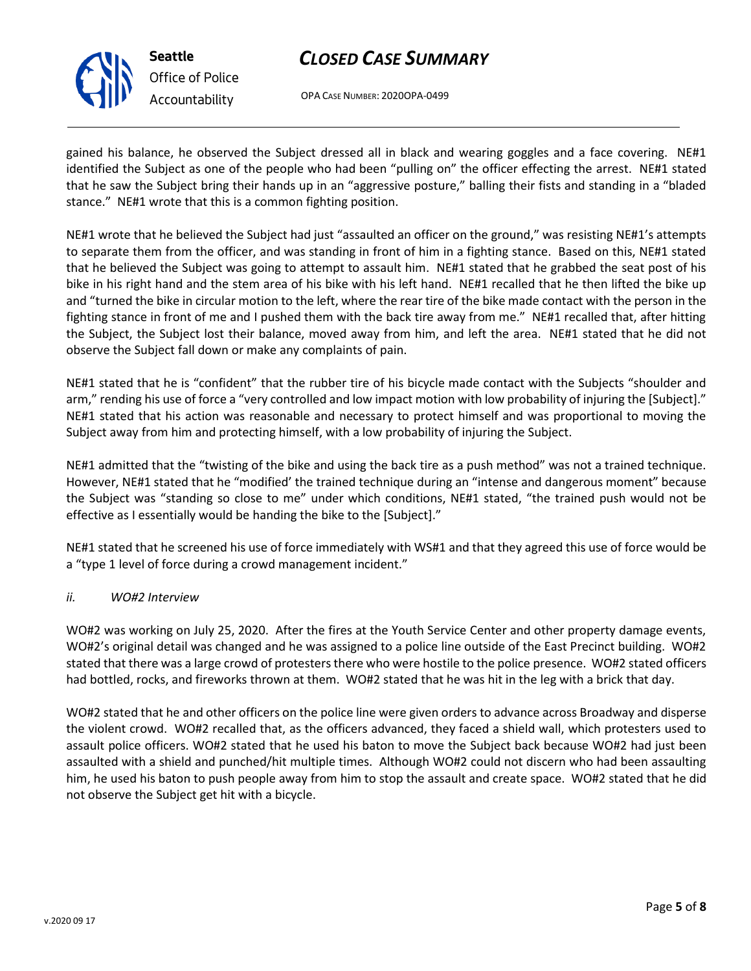

OPA CASE NUMBER: 2020OPA-0499

gained his balance, he observed the Subject dressed all in black and wearing goggles and a face covering. NE#1 identified the Subject as one of the people who had been "pulling on" the officer effecting the arrest. NE#1 stated that he saw the Subject bring their hands up in an "aggressive posture," balling their fists and standing in a "bladed stance." NE#1 wrote that this is a common fighting position.

NE#1 wrote that he believed the Subject had just "assaulted an officer on the ground," was resisting NE#1's attempts to separate them from the officer, and was standing in front of him in a fighting stance. Based on this, NE#1 stated that he believed the Subject was going to attempt to assault him. NE#1 stated that he grabbed the seat post of his bike in his right hand and the stem area of his bike with his left hand. NE#1 recalled that he then lifted the bike up and "turned the bike in circular motion to the left, where the rear tire of the bike made contact with the person in the fighting stance in front of me and I pushed them with the back tire away from me." NE#1 recalled that, after hitting the Subject, the Subject lost their balance, moved away from him, and left the area. NE#1 stated that he did not observe the Subject fall down or make any complaints of pain.

NE#1 stated that he is "confident" that the rubber tire of his bicycle made contact with the Subjects "shoulder and arm," rending his use of force a "very controlled and low impact motion with low probability of injuring the [Subject]." NE#1 stated that his action was reasonable and necessary to protect himself and was proportional to moving the Subject away from him and protecting himself, with a low probability of injuring the Subject.

NE#1 admitted that the "twisting of the bike and using the back tire as a push method" was not a trained technique. However, NE#1 stated that he "modified' the trained technique during an "intense and dangerous moment" because the Subject was "standing so close to me" under which conditions, NE#1 stated, "the trained push would not be effective as I essentially would be handing the bike to the [Subject]."

NE#1 stated that he screened his use of force immediately with WS#1 and that they agreed this use of force would be a "type 1 level of force during a crowd management incident."

### *ii. WO#2 Interview*

WO#2 was working on July 25, 2020. After the fires at the Youth Service Center and other property damage events, WO#2's original detail was changed and he was assigned to a police line outside of the East Precinct building. WO#2 stated that there was a large crowd of protesters there who were hostile to the police presence. WO#2 stated officers had bottled, rocks, and fireworks thrown at them. WO#2 stated that he was hit in the leg with a brick that day.

WO#2 stated that he and other officers on the police line were given orders to advance across Broadway and disperse the violent crowd. WO#2 recalled that, as the officers advanced, they faced a shield wall, which protesters used to assault police officers. WO#2 stated that he used his baton to move the Subject back because WO#2 had just been assaulted with a shield and punched/hit multiple times. Although WO#2 could not discern who had been assaulting him, he used his baton to push people away from him to stop the assault and create space. WO#2 stated that he did not observe the Subject get hit with a bicycle.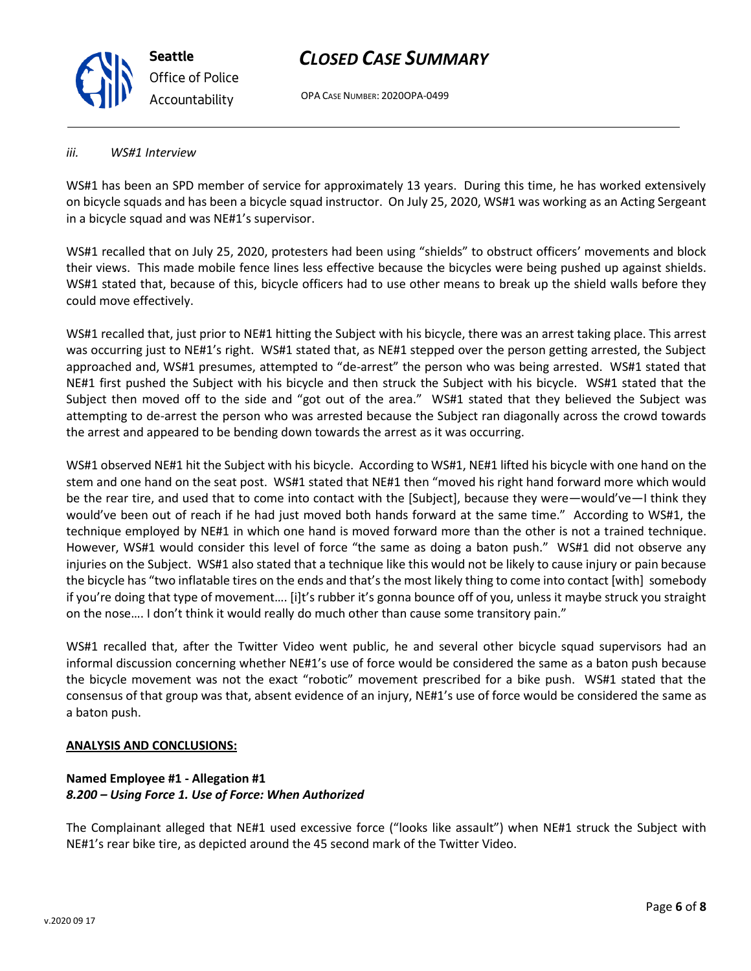OPA CASE NUMBER: 2020OPA-0499

#### *iii. WS#1 Interview*

WS#1 has been an SPD member of service for approximately 13 years. During this time, he has worked extensively on bicycle squads and has been a bicycle squad instructor. On July 25, 2020, WS#1 was working as an Acting Sergeant in a bicycle squad and was NE#1's supervisor.

WS#1 recalled that on July 25, 2020, protesters had been using "shields" to obstruct officers' movements and block their views. This made mobile fence lines less effective because the bicycles were being pushed up against shields. WS#1 stated that, because of this, bicycle officers had to use other means to break up the shield walls before they could move effectively.

WS#1 recalled that, just prior to NE#1 hitting the Subject with his bicycle, there was an arrest taking place. This arrest was occurring just to NE#1's right. WS#1 stated that, as NE#1 stepped over the person getting arrested, the Subject approached and, WS#1 presumes, attempted to "de-arrest" the person who was being arrested. WS#1 stated that NE#1 first pushed the Subject with his bicycle and then struck the Subject with his bicycle. WS#1 stated that the Subject then moved off to the side and "got out of the area." WS#1 stated that they believed the Subject was attempting to de-arrest the person who was arrested because the Subject ran diagonally across the crowd towards the arrest and appeared to be bending down towards the arrest as it was occurring.

WS#1 observed NE#1 hit the Subject with his bicycle. According to WS#1, NE#1 lifted his bicycle with one hand on the stem and one hand on the seat post. WS#1 stated that NE#1 then "moved his right hand forward more which would be the rear tire, and used that to come into contact with the [Subject], because they were—would've—I think they would've been out of reach if he had just moved both hands forward at the same time." According to WS#1, the technique employed by NE#1 in which one hand is moved forward more than the other is not a trained technique. However, WS#1 would consider this level of force "the same as doing a baton push." WS#1 did not observe any injuries on the Subject. WS#1 also stated that a technique like this would not be likely to cause injury or pain because the bicycle has "two inflatable tires on the ends and that's the most likely thing to come into contact [with] somebody if you're doing that type of movement…. [i]t's rubber it's gonna bounce off of you, unless it maybe struck you straight on the nose…. I don't think it would really do much other than cause some transitory pain."

WS#1 recalled that, after the Twitter Video went public, he and several other bicycle squad supervisors had an informal discussion concerning whether NE#1's use of force would be considered the same as a baton push because the bicycle movement was not the exact "robotic" movement prescribed for a bike push. WS#1 stated that the consensus of that group was that, absent evidence of an injury, NE#1's use of force would be considered the same as a baton push.

### **ANALYSIS AND CONCLUSIONS:**

### **Named Employee #1 - Allegation #1** *8.200 – Using Force 1. Use of Force: When Authorized*

The Complainant alleged that NE#1 used excessive force ("looks like assault") when NE#1 struck the Subject with NE#1's rear bike tire, as depicted around the 45 second mark of the Twitter Video.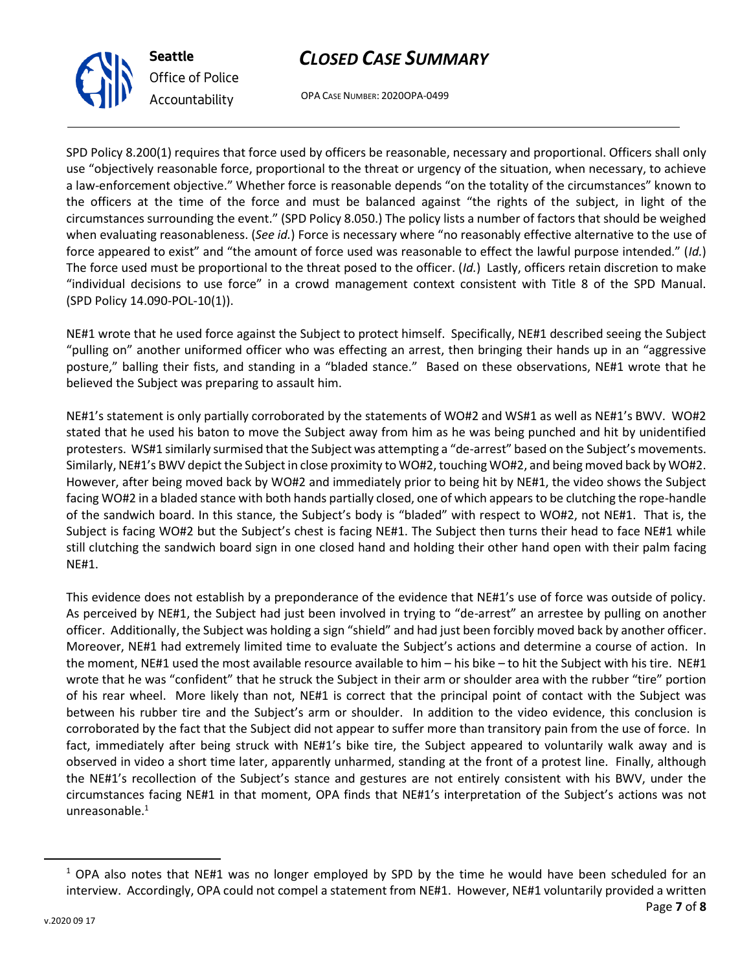

*Office of Police Accountability*

OPA CASE NUMBER: 2020OPA-0499

SPD Policy 8.200(1) requires that force used by officers be reasonable, necessary and proportional. Officers shall only use "objectively reasonable force, proportional to the threat or urgency of the situation, when necessary, to achieve a law-enforcement objective." Whether force is reasonable depends "on the totality of the circumstances" known to the officers at the time of the force and must be balanced against "the rights of the subject, in light of the circumstances surrounding the event." (SPD Policy 8.050.) The policy lists a number of factors that should be weighed when evaluating reasonableness. (*See id.*) Force is necessary where "no reasonably effective alternative to the use of force appeared to exist" and "the amount of force used was reasonable to effect the lawful purpose intended." (*Id.*) The force used must be proportional to the threat posed to the officer. (*Id.*) Lastly, officers retain discretion to make "individual decisions to use force" in a crowd management context consistent with Title 8 of the SPD Manual. (SPD Policy 14.090-POL-10(1)).

NE#1 wrote that he used force against the Subject to protect himself. Specifically, NE#1 described seeing the Subject "pulling on" another uniformed officer who was effecting an arrest, then bringing their hands up in an "aggressive posture," balling their fists, and standing in a "bladed stance." Based on these observations, NE#1 wrote that he believed the Subject was preparing to assault him.

NE#1's statement is only partially corroborated by the statements of WO#2 and WS#1 as well as NE#1's BWV. WO#2 stated that he used his baton to move the Subject away from him as he was being punched and hit by unidentified protesters. WS#1 similarly surmised that the Subject was attempting a "de-arrest" based on the Subject's movements. Similarly, NE#1's BWV depict the Subject in close proximity to WO#2, touching WO#2, and being moved back by WO#2. However, after being moved back by WO#2 and immediately prior to being hit by NE#1, the video shows the Subject facing WO#2 in a bladed stance with both hands partially closed, one of which appears to be clutching the rope-handle of the sandwich board. In this stance, the Subject's body is "bladed" with respect to WO#2, not NE#1. That is, the Subject is facing WO#2 but the Subject's chest is facing NE#1. The Subject then turns their head to face NE#1 while still clutching the sandwich board sign in one closed hand and holding their other hand open with their palm facing NE#1.

This evidence does not establish by a preponderance of the evidence that NE#1's use of force was outside of policy. As perceived by NE#1, the Subject had just been involved in trying to "de-arrest" an arrestee by pulling on another officer. Additionally, the Subject was holding a sign "shield" and had just been forcibly moved back by another officer. Moreover, NE#1 had extremely limited time to evaluate the Subject's actions and determine a course of action. In the moment, NE#1 used the most available resource available to him – his bike – to hit the Subject with his tire. NE#1 wrote that he was "confident" that he struck the Subject in their arm or shoulder area with the rubber "tire" portion of his rear wheel. More likely than not, NE#1 is correct that the principal point of contact with the Subject was between his rubber tire and the Subject's arm or shoulder. In addition to the video evidence, this conclusion is corroborated by the fact that the Subject did not appear to suffer more than transitory pain from the use of force. In fact, immediately after being struck with NE#1's bike tire, the Subject appeared to voluntarily walk away and is observed in video a short time later, apparently unharmed, standing at the front of a protest line. Finally, although the NE#1's recollection of the Subject's stance and gestures are not entirely consistent with his BWV, under the circumstances facing NE#1 in that moment, OPA finds that NE#1's interpretation of the Subject's actions was not unreasonable. $1$ 

 $1$  OPA also notes that NE#1 was no longer employed by SPD by the time he would have been scheduled for an interview. Accordingly, OPA could not compel a statement from NE#1. However, NE#1 voluntarily provided a written